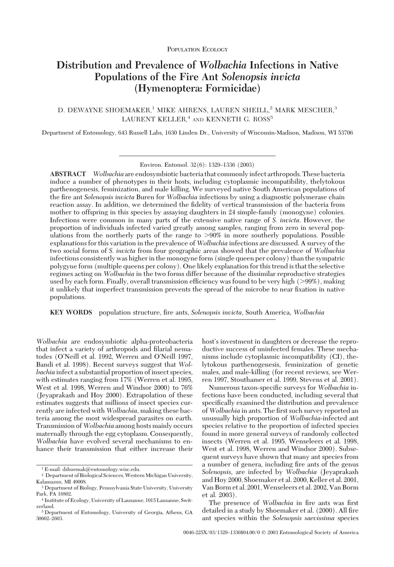# **Distribution and Prevalence of** *Wolbachia* **Infections in Native Populations of the Fire Ant** *Solenopsis invicta* **(Hymenoptera: Formicidae)**

D. DEWAYNE SHOEMAKER,<sup>1</sup> MIKE AHRENS, LAUREN SHEILL,<sup>2</sup> MARK MESCHER,<sup>3</sup> LAURENT KELLER,<sup>4</sup> AND KENNETH G. ROSS<sup>5</sup>

Department of Entomology, 643 Russell Labs, 1630 Linden Dr., University of Wisconsin-Madison, Madison, WI 53706

**ABSTRACT** *Wolbachia* are endosymbiotic bacteria that commonlyinfect arthropods. These bacteria induce a number of phenotypes in their hosts, including cytoplasmic incompatibility, thelytokous parthenogenesis, feminization, and male killing. We surveyed native South American populations of the fire ant *Solenopsis invicta* Buren for *Wolbachia* infections by using a diagnostic polymerase chain reaction assay. In addition, we determined the fidelity of vertical transmission of the bacteria from mother to offspring in this species by assaying daughters in 24 simple-family (monogyne) colonies. Infectionswere common in many partsof the extensive native range of *S. invicta*. However, the proportion of individuals infected varied greatly among samples, ranging from zero in several populations from the northerly parts of the range to  $>90\%$  in more southerly populations. Possible explanations for this variation in the prevalence of *Wolbachia* infections are discussed. A survey of the two social forms of *S. invicta* from four geographic areas showed that the prevalence of *Wolbachia* infections consistently was higher in the monogyne form (single queen per colony) than the sympatric polygyne form (multiple queensper colony). One likely explanation for thistrend isthat the selective regimesacting on *Wolbachia* in the two forms differ because of the dissimilar reproductive strategies used by each form. Finally, overall transmission efficiency was found to be very high  $(>99\%)$ , making it unlikely that imperfect transmission prevents the spread of the microbe to near fixation in native populations.

**KEY WORDS** population structure, Þre ants, *Solenopsis invicta*, South America, *Wolbachia*

*Wolbachia* are endosymbiotic alpha-proteobacteria that infect a variety of arthropods and filarial nematodes (O'Neill et al. 1992, Werren and O'Neill 1997, Bandi et al. 1998). Recent surveys suggest that *Wolbachia* infect a substantial proportion of insect species, with estimates ranging from 17% (Werren et al. 1995, West et al. 1998, Werren and Windsor 2000) to 76% (Jeyaprakash and Hoy 2000). Extrapolation of these estimates suggests that millions of insect species currently are infected with *Wolbachia,* making these bacteria among the most widespread parasites on earth. Transmission of*Wolbachia* among hosts mainly occurs maternally through the egg cytoplasm. Consequently, *Wolbachia* have evolved several mechanisms to enhance their transmission that either increase their host's investment in daughters or decrease the reproductive success of uninfected females. These mechanisms include cytoplasmic incompatibility (CI), thelytokous parthenogenesis, feminization of genetic males, and male-killing (for recent reviews, see Werren 1997, Stouthamer et al. 1999, Stevens et al. 2001).

Numerous taxon-specific surveys for *Wolbachia* infections have been conducted, including several that specifically examined the distribution and prevalence of *Wolbachia* in ants. The first such survey reported an unusually high proportion of *Wolbachia*-infected ant species relative to the proportion of infected species found in more general surveys of randomly collected insects (Werren et al. 1995, Wenseleers et al. 1998, West et al. 1998, Werren and Windsor 2000). Subsequent surveys have shown that many ant species from a number of genera, including fire ants of the genus *Solenopsis,* are infected by *Wolbachia* (Jeyaprakash and Hoy 2000, Shoemaker et al. 2000, Keller et al. 2001, Van Borm et al. 2001,Wenseleers et al. 2002, Van Borm et al. 2003).

The presence of *Wolbachia* in fire ants was first detailed in a study by Shoemaker et al. (2000). All fire ant species within the *Solenopsis saevissima* species

Environ. Entomol. 32(6): 1329-1336 (2003)

<sup>1</sup> E-mail: dshoemak@entomology.wisc.edu.

<sup>&</sup>lt;sup>2</sup> Department of Biological Sciences, Western Michigan University, Kalamazoo, MI 49008.

<sup>3</sup> Department of Biology, Pennsylvania State University, University Park, PA 16802.

<sup>4</sup> Institute of Ecology, University of Lausanne, 1015 Lausanne, Switzerland.

<sup>5</sup> Department of Entomology, University of Georgia, Athens, GA 30602-2603.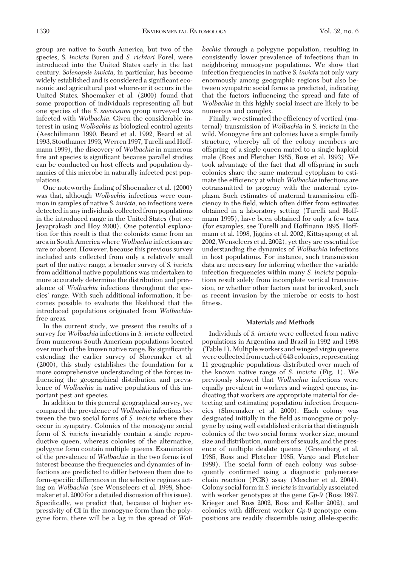group are native to South America, but two of the species, *S. invicta* Buren and *S. richteri* Forel, were introduced into the United States early in the last century. *Solenopsis invicta*, in particular, has become widely established and is considered a significant economic and agricultural pest wherever it occurs in the United States. Shoemaker et al. (2000) found that some proportion of individuals representing all but one species of the *S. saevissima* group surveyed was infected with *Wolbachia.* Given the considerable interest in using *Wolbachia* asbiological control agents (Aeschilimann 1990, Beard et al. 1992, Beard et al. 1993, Stouthamer 1993,Werren 1997, Turelli and Hoffmann 1999), the discovery of *Wolbachia* in numerous fire ant species is significant because parallel studies can be conducted on host effects and population dynamics of this microbe in naturally infected pest populations.

One noteworthy finding of Shoemaker et al. (2000) was that, although *Wolbachia* infections were common in samples of native *S. invicta,* no infectionswere detected in any individuals collected from populations in the introduced range in the United States(but see Jeyaprakash and Hoy 2000). One potential explanation for this result is that the colonists came from an area in South America where Wolbachia infections are rare or absent. However, because this previous survey included ants collected from only a relatively small part of the native range, a broader survey of *S. invicta* from additional native populations was undertaken to more accurately determine the distribution and prevalence of *Wolbachia* infections throughout the species' range. With such additional information, it becomes possible to evaluate the likelihood that the introduced populations originated from *Wolbachia*free areas.

In the current study, we present the results of a survey for *Wolbachia* infections in *S. invicta* collected from numerous South American populations located over much of the known native range. By significantly extending the earlier survey of Shoemaker et al. (2000), this study establishes the foundation for a more comprehensive understanding of the forces influencing the geographical distribution and prevalence of *Wolbachia* in native populations of this important pest ant species.

In addition to this general geographical survey, we compared the prevalence of *Wolbachia* infectionsbetween the two social forms of *S. invicta* where they occur in sympatry. Colonies of the monogyne social form of *S. invicta* invariably contain a single reproductive queen, whereas colonies of the alternative, polygyne form contain multiple queens. Examination of the prevalence of *Wolbachia* in the two formsisof interest because the frequencies and dynamics of infections are predicted to differ between them due to form-specific differences in the selective regimes acting on *Wolbachia* (see Wenseleers et al. 1998, Shoemaker et al. 2000 for a detailed discussion of this issue). Specifically, we predict that, because of higher expressivity of CI in the monogyne form than the polygyne form, there will be a lag in the spread of *Wol-* *bachia* through a polygyne population, resulting in consistently lower prevalence of infections than in neighboring monogyne populations. We show that infection frequencies in native *S. invicta* not only vary enormously among geographic regions but also between sympatric social forms as predicted, indicating that the factors influencing the spread and fate of *Wolbachia* in this highly social insect are likely to be numerous and complex.

Finally, we estimated the efficiency of vertical (maternal) transmission of *Wolbachia* in *S. invicta* in the wild. Monogyne fire ant colonies have a simple family structure, whereby all of the colony members are offspring of a single queen mated to a single haploid male (Ross and Fletcher 1985, Ross et al. 1993). We took advantage of the fact that all offspring in such colonies share the same maternal cytoplasm to estimate the efficiency at which *Wolbachia* infections are cotransmitted to progeny with the maternal cytoplasm. Such estimates of maternal transmission efÞciency in the field, which often differ from estimates obtained in a laboratory setting (Turelli and Hoffmann 1995), have been obtained for only a few taxa (for examples, see Turelli and Hoffmann 1995, Hoffmann et al. 1998, Jiggins et al. 2002, Kittayapong et al. 2002,Wenseleers et al. 2002), yet they are essential for understanding the dynamics of *Wolbachia* infections in host populations. For instance, such transmission data are necessary for inferring whether the variable infection frequencieswithin many *S. invicta* populations result solely from incomplete vertical transmission, or whether other factors must be invoked, such as recent invasion by the microbe or costs to host fitness.

# **Materials and Methods**

Individuals of *S. invicta* were collected from native populationsin Argentina and Brazil in 1992 and 1998 (Table 1). Multiple workersand winged virgin queens were collected from each of 643 colonies, representing 11 geographic populations distributed over much of the known native range of *S. invicta* (Fig. 1). We previously showed that *Wolbachia* infections were equally prevalent in workers and winged queens, indicating that workers are appropriate material for detecting and estimating population infection frequencies(Shoemaker et al. 2000). Each colony was designated initially in the field as monogyne or polygyne by using well established criteria that distinguish colonies of the two social forms: worker size, mound size and distribution, numbers of sexuals, and the presence of multiple dealate queens (Greenberg et al. 1985, Ross and Fletcher 1985, Vargo and Fletcher 1989). The social form of each colony was subsequently confirmed using a diagnostic polymerase chain reaction (PCR) assay (Mescher et al. 2004). Colony social form in *S. invicta* is invariably associated with worker genotypesat the gene *Gp*-*9* (Ross 1997, Krieger and Ross 2002, Ross and Keller 2002), and colonies with different worker *Gp-9* genotype compositions are readily discernible using allele-specific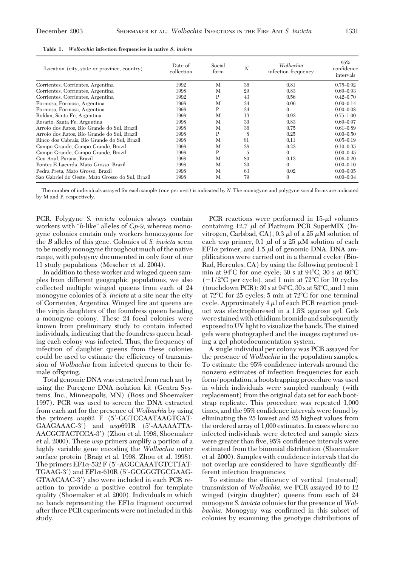| Location (city, state or province, country)      | Date of<br>collection | Social<br>form | N  | Wolbachia<br>infection frequency | 95%<br>confidence<br>intervals |  |
|--------------------------------------------------|-----------------------|----------------|----|----------------------------------|--------------------------------|--|
| Corrientes, Corrientes, Argentina                | 1992                  | M              | 36 | 0.81                             | $0.75 - 0.92$                  |  |
| Corrientes, Corrientes, Argentina                | 1998                  | M              | 29 | 0.83                             | $0.69 - 0.93$                  |  |
| Corrientes, Corrientes, Argentina                | 1992                  | P              | 43 | 0.56                             | $0.42 - 0.70$                  |  |
| Formosa, Formosa, Argentina                      | 1998                  | M              | 34 | 0.06                             | $0.00 - 0.14$                  |  |
| Formosa, Formosa, Argentina                      | 1998                  | P              | 34 | $\theta$                         | $0.00 - 0.08$                  |  |
| Roldan, Santa Fe, Argentina                      | 1998                  | M              | 13 | 0.93                             | $0.75 - 1.00$                  |  |
| Rosario, Santa Fe, Argentina                     | 1998                  | M              | 30 | 0.83                             | $0.69 - 0.97$                  |  |
| Arroio dos Ratos, Rio Grande do Sul, Brazil      | 1998                  | M              | 36 | 0.75                             | $0.61 - 0.89$                  |  |
| Arroio dos Ratos, Rio Grande do Sul, Brazil      | 1998                  | P              | 8  | 0.25                             | $0.00 - 0.50$                  |  |
| Rinco dos Cabrais, Rio Grande do Sul, Brazil     | 1998                  | М              | 81 | 0.11                             | $0.05 - 0.19$                  |  |
| Campo Grande, Campo Grande, Brazil               | 1998                  | M              | 38 | 0.23                             | $0.10 - 0.35$                  |  |
| Campo Grande, Campo Grande, Brazil               | 1998                  | P              | 5  | $\Omega$                         | $0.00 - 0.45$                  |  |
| Ceu Azul, Parana, Brazil                         | 1998                  | М              | 80 | 0.13                             | $0.06 - 0.20$                  |  |
| Pontes E Lacerda, Mato Grosso, Brazil            | 1998                  | M              | 30 | $\Omega$                         | $0.00 - 0.10$                  |  |
| Pedra Preta, Mato Grosso, Brazil                 | 1998                  | M              | 63 | 0.02                             | $0.00 - 0.05$                  |  |
| Sao Gabriel do Oeste, Mato Grosso do Sul, Brazil | 1998                  | М              | 79 | $\Omega$                         | $0.00 - 0.04$                  |  |
|                                                  |                       |                |    |                                  |                                |  |

|  |  |  | Table 1. Wolbachia infection frequencies in native S. invicta |  |  |  |  |
|--|--|--|---------------------------------------------------------------|--|--|--|--|
|--|--|--|---------------------------------------------------------------|--|--|--|--|

The number of individuals assayed for each sample (one per nest) is indicated by *N.* The monogyne and polygyne social forms are indicated by M and P, respectively.

PCR. Polygyne *S. invicta* colonies always contain workers with "*b*-like" alleles of *Gp*-9, whereas monogyne colonies contain only workers homozygous for the *B* alleles of this gene. Colonies of *S. invicta* seem to be mostly monogyne throughout much of the native range, with polygyny documented in only four of our 11 study populations (Mescher et al. 2004).

In addition to these worker and winged queen samples from different geographic populations, we also collected multiple winged queens from each of 24 monogyne colonies of *S. invicta* at a site near the city of Corrientes, Argentina. Winged fire ant queens are the virgin daughters of the foundress queen heading a monogyne colony. These 24 focal colonies were known from preliminary study to contain infected individuals, indicating that the foundress queen heading each colony was infected. Thus, the frequency of infection of daughter queens from these colonies could be used to estimate the efficiency of transmission of *Wolbachia* from infected queens to their female offspring.

Total genomic DNA was extracted from each ant by using the Puregene DNA isolation kit (Gentra Systems, Inc., Minneapolis, MN) (Ross and Shoemaker 1997). PCR was used to screen the DNA extracted from each ant for the presence of *Wolbachia* by using the primers  $wsp82$  F (5'-GGTCCAATAAGTGAT-GAAGAAAC-3') and *wsp*691R (5'-AAAAATTA-AACGCTACTCCA-3') (Zhou et al. 1998, Shoemaker et al. 2000). These *wsp* primersamplify a portion of a highly variable gene encoding the *Wolbachia* outer surface protein (Braig et al. 1998, Zhou et al. 1998). The primers  $EFl\alpha$ -532 F (5'-AGGCAAATGTCTTAT- $TGAAG-3'$ ) and  $EFl\alpha$ -610R (5'-GCGGGTGCGAAG-GTAACAAC-3') also were included in each PCR reaction to provide a positive control for template quality (Shoemaker et al. 2000). Individualsin which no bands representing the  $EFl\alpha$  fragment occurred after three PCR experimentswere not included in this study.

PCR reactions were performed in  $15-\mu l$  volumes containing  $12.7 \mu l$  of Platinum PCR SuperMIX (Invitrogen, Carlsbad, CA), 0.3  $\mu$ l of a 25  $\mu$ M solution of each *wsp* primer, 0.1  $\mu$ l of a 25  $\mu$ M solution of each EF1 $\alpha$  primer, and 1.5  $\mu$ l of genomic DNA. DNA amplifications were carried out in a thermal cycler (Bio-Rad, Hercules, CA) by using the following protocol: 1 min at  $94^{\circ}$ C for one cycle; 30 s at  $94^{\circ}$ C, 30 s at  $60^{\circ}$ C  $(-1/2^{\circ}C$  per cycle), and 1 min at 72 $^{\circ}C$  for 10 cycles (touchdown PCR);  $30 s$  at  $94^{\circ}$ C,  $30 s$  at  $53^{\circ}$ C, and 1 min at  $72^{\circ}$ C for 25 cycles; 5 min at  $72^{\circ}$ C for one terminal cycle. Approximately  $4 \mu$ l of each PCR reaction product was electrophoresed in a 1.5% agarose gel. Gels were stained with ethidium bromide and subsequently exposed to UV light to visualize the bands. The stained gels were photographed and the images captured using a gel photodocumentation system.

A single individual per colony was PCR assayed for the presence of *Wolbachia* in the population samples. To estimate the 95% confidence intervals around the nonzero estimates of infection frequencies for each form/population, a bootstrapping procedure was used in which individuals were sampled randomly (with replacement) from the original data set for each bootstrap replicate. This procedure was repeated 1,000 times, and the 95% confidence intervals were found by eliminating the 25 lowest and 25 highest values from the ordered array of 1,000 estimates. In cases where no infected individuals were detected and sample sizes were greater than five, 95% confidence intervals were estimated from the binomial distribution (Shoemaker et al. 2000). Samples with confidence intervals that do not overlap are considered to have significantly different infection frequencies.

To estimate the efficiency of vertical (maternal) transmission of *Wolbachia,* we PCR assayed 10 to 12 winged (virgin daughter) queens from each of 24 monogyne *S. invicta* colonies for the presence of *Wol*bachia. Monogyny was confirmed in this subset of colonies by examining the genotype distributions of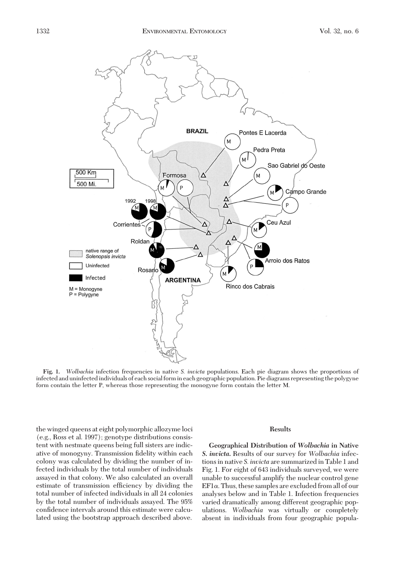

**Fig. 1.** *Wolbachia* infection frequenciesin native *S. invicta* populations. Each pie diagram shows the proportions of infected and uninfected individuals of each social form in each geographic population. Pie diagrams representing the polygyne form contain the letter P, whereas those representing the monogyne form contain the letter M.

the winged queensat eight polymorphic allozyme loci (e.g., Ross et al. 1997); genotype distributions consistent with nestmate queens being full sisters are indicative of monogyny. Transmission fidelity within each colony was calculated by dividing the number of infected individuals by the total number of individuals assayed in that colony. We also calculated an overall estimate of transmission efficiency by dividing the total number of infected individuals in all 24 colonies by the total number of individuals assayed. The 95% confidence intervals around this estimate were calculated using the bootstrap approach described above.

# **Results**

**Geographical Distribution of** *Wolbachia* **in Native** *S. invicta***.** Results of our survey for *Wolbachia* infectionsin native *S. invicta* are summarized in Table 1 and Fig. 1. For eight of 643 individuals surveyed, we were unable to successful amplify the nuclear control gene  $EFI\alpha$ . Thus, these samples are excluded from all of our analyses below and in Table 1. Infection frequencies varied dramatically among different geographic populations. *Wolbachia* was virtually or completely absent in individuals from four geographic popula-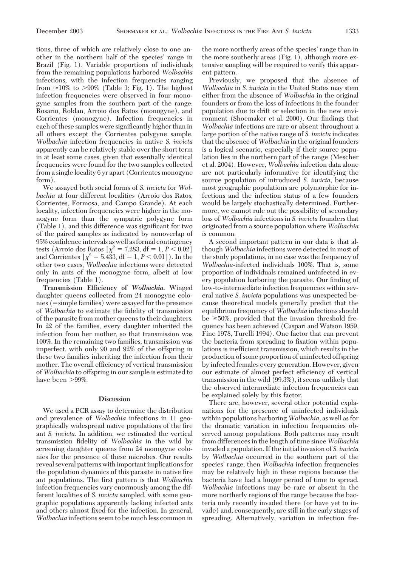tions, three of which are relatively close to one another in the northern half of the species' range in Brazil (Fig. 1). Variable proportions of individuals from the remaining populations harbored *Wolbachia* infections, with the infection frequencies ranging from  $\approx$ 10% to >90% (Table 1; Fig. 1). The highest infection frequencies were observed in four monogyne samples from the southern part of the range: Rosario, Roldan, Arroio dos Ratos (monogyne), and Corrientes (monogyne). Infection frequencies in each of these samples were significantly higher than in all others except the Corrientes polygyne sample. *Wolbachia* infection frequenciesin native *S. invicta* apparently can be relatively stable over the short term in at least some cases, given that essentially identical frequencies were found for the two samples collected from a single locality 6 yr apart (Corrientes monogyne form).

We assayed both social forms of *S. invicta* for *Wol*bachia at four different localities (Arroio dos Ratos, Corrientes, Formosa, and Campo Grande). At each locality, infection frequencies were higher in the monogyne form than the sympatric polygyne form (Table 1), and this difference was significant for two of the paired samples as indicated by nonoverlap of 95% confidence intervals as well as formal contingency tests (Arroio dos Ratos  $[\chi^2 = 7.283, df = 1, P < 0.02]$ and Corrientes  $[\chi^2 = 5.433, df = 1, P < 0.01]$ ). In the other two cases, *Wolbachia* infectionswere detected only in ants of the monogyne form, albeit at low frequencies (Table 1).

**Transmission Efficiency of** *Wolbachia***.** Winged daughter queens collected from 24 monogyne colonies (=simple families) were assayed for the presence of *Wolbachia* to estimate the fidelity of transmission of the parasite from mother queens to their daughters. In 22 of the families, every daughter inherited the infection from her mother, so that transmission was 100%. In the remaining two families, transmission was imperfect, with only 90 and 92% of the offspring in these two families inheriting the infection from their mother. The overall efficiency of vertical transmission of *Wolbachia* to offspring in our sample is estimated to have been >99%.

# **Discussion**

We used a PCR assay to determine the distribution and prevalence of *Wolbachia* infections in 11 geographically widespread native populations of the fire ant *S. invicta.* In addition, we estimated the vertical transmission fidelity of *Wolbachia* in the wild by screening daughter queens from 24 monogyne colonies for the presence of these microbes. Our results reveal several patternswith important implicationsfor the population dynamics of this parasite in native fire ant populations. The first pattern is that *Wolbachia* infection frequencies vary enormously among the different localities of *S. invicta* sampled, with some geographic populationsapparently lacking infected ants and others almost fixed for the infection. In general, *Wolbachia* infections seem to be much less common in the more northerly areas of the species' range than in the more southerly areas (Fig. 1), although more extensive sampling will be required to verify this apparent pattern.

Previously, we proposed that the absence of *Wolbachia* in *S. invicta* in the United States may stem either from the absence of *Wolbachia* in the original founders or from the loss of infections in the founder population due to drift or selection in the new environment (Shoemaker et al. 2000). Our findings that *Wolbachia* infections are rare or absent throughout a large portion of the native range of *S. invicta* indicates that the absence of *Wolbachia* in the original founders is a logical scenario, especially if their source population lies in the northern part of the range (Mescher et al. 2004). However, *Wolbachia* infection data alone are not particularly informative for identifying the source population of introduced *S. invicta,* because most geographic populations are polymorphic for infections and the infection status of a few founders would be largely stochastically determined. Furthermore, we cannot rule out the possibility of secondary loss of *Wolbachia* infections in *S. invicta* founders that originated from a source population where *Wolbachia* is common.

A second important pattern in our data is that although *Wolbachia* infectionswere detected in most of the study populations, in no case was the frequency of *Wolbachia*-infected individuals 100%. That is, some proportion of individuals remained uninfected in every population harboring the parasite. Our finding of low-to-intermediate infection frequencies within several native *S. invicta* populations was unexpected because theoretical models generally predict that the equilibrium frequency of *Wolbachia* infections should be  $\geq 50\%$ , provided that the invasion threshold frequency has been achieved (Caspari and Watson 1959, Fine 1978, Turelli 1994). One factor that can prevent the bacteria from spreading to fixation within populations is inefficient transmission, which results in the production of some proportion of uninfected offspring by infected females every generation. However, given our estimate of almost perfect efficiency of vertical transmission in the wild (99.3%), it seems unlikely that the observed intermediate infection frequencies can be explained solely by this factor.

There are, however, several other potential explanations for the presence of uninfected individuals within populations harboring *Wolbachia*, as well as for the dramatic variation in infection frequencies observed among populations. Both patterns may result from differencesin the length of time since *Wolbachia* invaded a population. If the initial invasion of *S. invicta* by *Wolbachia* occurred in the southern part of the species' range, then *Wolbachia* infection frequencies may be relatively high in these regions because the bacteria have had a longer period of time to spread. *Wolbachia* infections may be rare or absent in the more northerly regions of the range because the bacteria only recently invaded there (or have yet to invade) and, consequently, are still in the early stages of spreading. Alternatively, variation in infection fre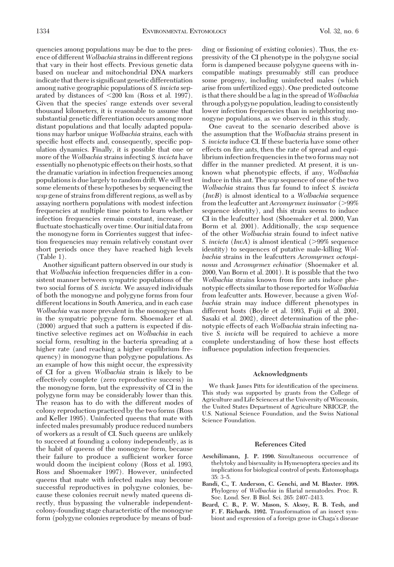quencies among populations may be due to the presence of different *Wolbachia* strains in different regions that vary in their host effects. Previous genetic data based on nuclear and mitochondrial DNA markers indicate that there is significant genetic differentiation among native geographic populations of *S. invicta* separated by distances of 200 km (Ross et al. 1997). Given that the species' range extends over several thousand kilometers, it is reasonable to assume that substantial genetic differentiation occurs among more distant populations and that locally adapted populationsmay harbor unique *Wolbachia* strains, each with specific host effects and, consequently, specific population dynamics. Finally, it is possible that one or more of the *Wolbachia* strains infecting *S. invicta* have essentially no phenotypic effects on their hosts, so that the dramatic variation in infection frequencies among populationsisdue largely to random drift. We will test some elements of these hypotheses by sequencing the *wsp* gene of strains from different regions, as well as by assaying northern populations with modest infection frequencies at multiple time points to learn whether infection frequencies remain constant, increase, or ßuctuate stochastically over time. Our initial data from the monogyne form in Corrientes suggest that infection frequencies may remain relatively constant over short periods once they have reached high levels (Table 1).

Another significant pattern observed in our study is that *Wolbachia* infection frequencies differ in a consistent manner between sympatric populations of the two social forms of *S. invicta.* We assayed individuals of both the monogyne and polygyne forms from four different locations in South America, and in each case *Wolbachia* was more prevalent in the monogyne than in the sympatric polygyne form. Shoemaker et al. (2000) argued that such a pattern is expected if distinctive selective regimes act on *Wolbachia* in each social form, resulting in the bacteria spreading at a higher rate (and reaching a higher equilibrium frequency) in monogyne than polygyne populations. As an example of how this might occur, the expressivity of CI for a given *Wolbachia* strain is likely to be effectively complete (zero reproductive success) in the monogyne form, but the expressivity of CI in the polygyne form may be considerably lower than this. The reason has to do with the different modes of colony reproduction practiced by the two forms(Ross and Keller 1995). Uninfected queens that mate with infected males presumably produce reduced numbers of workers as a result of CI. Such queens are unlikely to succeed at founding a colony independently, as is the habit of queens of the monogyne form, because their failure to produce a sufficient worker force would doom the incipient colony (Ross et al. 1993, Ross and Shoemaker 1997). However, uninfected queens that mate with infected males may become successful reproductives in polygyne colonies, because these colonies recruit newly mated queens directly, thus bypassing the vulnerable independentcolony-founding stage characteristic of the monogyne form (polygyne colonies reproduce by means of budding or fissioning of existing colonies). Thus, the expressivity of the CI phenotype in the polygyne social form is dampened because polygyne queens with incompatible matings presumably still can produce some progeny, including uninfected males (which arise from unfertilized eggs). One predicted outcome is that there should be a lag in the spread of *Wolbachia* through a polygyne population, leading to consistently lower infection frequencies than in neighboring monogyne populations, as we observed in this study.

One caveat to the scenario described above is the assumption that the *Wolbachia* strains present in *S. invicta* induce CI. If these bacteria have some other effects on fire ants, then the rate of spread and equilibrium infection frequencies in the two forms may not differ in the manner predicted. At present, it is unknown what phenotypic effects, if any, *Wolbachia* induce in thisant. The *wsp* sequence of one of the two *Wolbachia* strainsthusfar found to infect *S. invicta* (*InvB*) isalmost identical to a *Wolbachia* sequence from the leafcutter ant *Acromyrmex insinuator* (>99%) sequence identity), and this strain seems to induce CI in the leafcutter host (Shoemaker et al. 2000, Van Borm et al. 2001). Additionally, the *wsp* sequence of the other *Wolbachia* strain found to infect native *S. invicta* (*InvA*) is almost identical (>99% sequence identity) to sequences of putative male-killing *Wolbachia* strains in the leafcutters *Acromyrmex octospinosus* and *Acromyrmex echinatior* (Shoemaker et al. 2000, Van Borm et al. 2001). It is possible that the two *Wolbachia* strains known from fire ants induce phenotypic effects similar to those reported for*Wolbachia* from leafcutter ants. However, because a given *Wolbachia* strain may induce different phenotypes in different hosts (Boyle et al. 1993, Fujii et al. 2001, Sasaki et al. 2002), direct determination of the phenotypic effects of each *Wolbachia* strain infecting native *S. invicta* will be required to achieve a more complete understanding of how these host effects inßuence population infection frequencies.

### **Acknowledgments**

We thank James Pitts for identification of the specimens. This study was supported by grants from the College of Agriculture and Life Sciences at the University of Wisconsin, the United States Department of Agriculture NRICGP, the U.S. National Science Foundation, and the Swiss National Science Foundation.

#### **References Cited**

- Aeschilimann, J. P. 1990. Simultaneous occurrence of thelytoky and bisexuality in Hymenoptera species and its implications for biological control of pests. Entomophaga  $35: 3-5.$
- **Bandi, C., T. Anderson, C. Genchi, and M. Blaxter. 1998.** Phylogeny of *Wolbachia* in filarial nematodes. Proc. R. Soc. Lond. Ser. B Biol. Sci. 265: 2407-2413.
- **Beard, C. B., P. W. Mason, S. Aksoy, R. B. Tesh, and F. F. Richards. 1992.** Transformation of an insect symbiont and expression of a foreign gene in Chaga's disease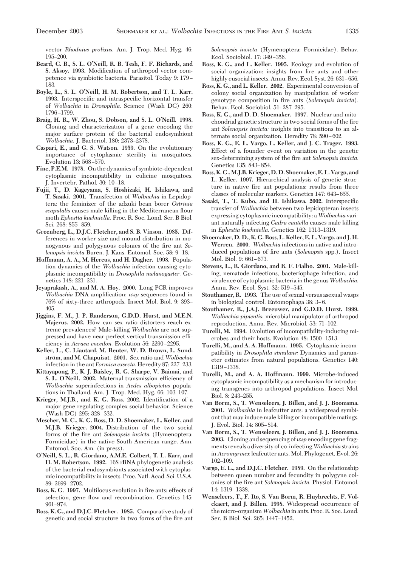vector *Rhodnius prolixus.* Am. J. Trop. Med. Hyg. 46: 195–200.

- **Beard, C. B., S. L. O'Neill, R. B. Tesh, F. F. Richards, and S. Aksoy. 1993.** Modification of arthropod vector competence via symbiotic bacteria. Parasitol. Today 9: 179 – 183.
- **Boyle, L., S. L. O'Neill, H. M. Robertson, and T. L. Karr.** 1993. Interspecific and intraspecific horizontal transfer of *Wolbachia* in *Drosophila.* Science (Wash DC) 260: 1796-1799.
- **Braig, H. R., W. Zhou, S. Dobson, and S. L. O'Neill. 1998.** Cloning and characterization of a gene encoding the major surface protein of the bacterial endosymbiont *Wolbachia.* J. Bacteriol. 180: 2373-2378.
- **Caspari, E., and G. S. Watson. 1959.** On the evolutionary importance of cytoplasmic sterility in mosquitoes. Evolution 13: 568-570.
- Fine, P.E.M. 1978. On the dynamics of symbiote-dependent cytoplasmic incompatibility in culicine mosquitoes. J. Invertebr. Pathol. 30: 10–18.
- **Fujii, Y., D. Kageyama, S. Hoshizaki, H. Ishikawa, and T. Sasaki. 2001.** Transfection of *Wolbachia* in Lepidoptera: the feminizer of the adzuki bean borer *Ostrinia scapulalis* causes male killing in the Mediterranean ßour moth *Ephestia kuehniella.* Proc. R. Soc. Lond. Ser. B Biol. Sci. 268: 855-859.
- **Greenberg, L., D.J.C. Fletcher, and S. B. Vinson. 1985.** Differences in worker size and mound distribution in monogynous and polygynous colonies of the fire ant *Solenopsis invicta* Buren. J. Kans. Entomol. Soc. 58: 9-18.
- **Hoffmann, A. A., M. Hercus, and H. Dagher. 1998.** Population dynamics of the *Wolbachia* infection causing cytoplasmic incompatibility in *Drosophila melanogaster.* Genetics 148: 221-231.
- **Jeyaprakash, A., and M. A. Hoy. 2000.** Long PCR improves *Wolbachia* DNA amplification: *wsp* sequences found in 76% of sixty-three arthropods. Insect Mol. Biol. 9: 393– 405.
- **Jiggins, F. M., J. P. Randerson, G.D.D. Hurst, and M.E.N. Majerus. 2002.** How can sex ratio distorters reach extreme prevalences? Male-killing *Wolbachia* are not suppressed and have near-perfect vertical transmission efÞciency in *Acraea encedon*. Evolution 56: 2290-2295.
- **Keller, L., C. Liautard, M. Reuter, W. D. Brown, L. Sundstro¨m, and M. Chapuisat. 2001.** Sex ratio and *Wolbachia* infection in the ant *Formica exsecta*. Heredity 87: 227-233.
- **Kittayapong, P., K. J. Baisley, R. G. Sharpe, V. Baimai, and** S. L. O'Neill. 2002. Maternal transmission efficiency of *Wolbachia* superinfections in *Aedes albopictus* populations in Thailand. Am. J. Trop. Med. Hyg. 66: 103-107.
- Krieger, M.J.B., and K. G. Ross. 2002. Identification of a major gene regulating complex social behavior. Science (Wash DC) 295: 328-332.
- **Mescher, M. C., K. G. Ross, D. D. Shoemaker, L. Keller, and M.J.B. Krieger. 2004.** Distribution of the two social forms of the fire ant *Solenopsis invicta* (Hymenoptera: Formicidae) in the native South American range. Ann. Entomol. Soc. Am. (in press).
- **O'Neill, S. L., R. Giordano, A.M.E. Colbert, T. L. Karr, and H. M. Robertson. 1992.** 16S rRNA phylogenetic analysis of the bacterial endosymbionts associated with cytoplasmic incompatibility in insects. Proc. Natl. Acad. Sci. U.S.A. 89: 2699-2702.
- Ross, K. G. 1997. Multilocus evolution in fire ants: effects of selection, gene ßow and recombination. Genetics 145: 961-974.
- **Ross, K. G., and D.J.C. Fletcher. 1985.** Comparative study of genetic and social structure in two forms of the fire ant

*Solenopsis invicta* (Hymenoptera: Formicidae). Behav. Ecol. Sociobiol. 17: 349-356.

- **Ross, K. G., and L. Keller. 1995.** Ecology and evolution of social organization: insights from fire ants and other highly eusocial insects. Annu. Rev. Ecol. Syst. 26: 631-656.
- **Ross, K. G., and L. Keller. 2002.** Experimental conversion of colony social organization by manipulation of worker genotype composition in fire ants (*Solenopsis invicta*). Behav. Ecol. Sociobiol. 51: 287-295.
- **Ross, K. G., and D. D. Shoemaker. 1997.** Nuclear and mitochondrial genetic structure in two social forms of the fire ant *Solenopsis invicta:* insights into transitions to an alternate social organization. Heredity 78: 590-602.
- **Ross, K. G., E. L. Vargo, L. Keller, and J. C. Trager. 1993.** Effect of a founder event on variation in the genetic sex-determining system of the fire ant *Solenopsis invicta*. Genetics 135: 843-854.
- **Ross, K. G.,M.J.B. Krieger, D. D. Shoemaker, E. L. Vargo, and L. Keller. 1997.** Hierarchical analysis of genetic structure in native fire ant populations: results from three classes of molecular markers. Genetics 147: 643–655.
- Sasaki, T., T. Kubo, and H. Ishikawa. 2002. Interspecific transfer of *Wolbachia* between two lepidopteran insects expressing cytoplasmic incompatibility: a*Wolbachia* variant naturally infecting *Cadra cautella* causes male killing in *Ephestia kuehniella*. Genetics 162: 1313-1319.
- **Shoemaker, D. D., K. G. Ross, L. Keller, E. L. Vargo, and J. H. Werren. 2000.** *Wolbachia* infectionsin native and introduced populations of fire ants (*Solenopsis* spp.). Insect Mol. Biol. 9: 661-673.
- **Stevens, L., R. Giordano, and R. F. Fialho. 2001.** Male-killing, nematode infections, bacteriophage infection, and virulence of cytoplasmic bacteria in the genus*Wolbachia.* Annu. Rev. Ecol. Syst. 32: 519-545.
- **Stouthamer, R. 1993.** The use of sexual versus asexual wasps in biological control. Entomophaga 38: 3-6.
- **Stouthamer, R., J.A.J. Breeuwer, and G.D.D. Hurst. 1999.** *Wolbachia pipientis:* microbial manipulator of arthropod reproduction. Annu. Rev. Microbiol. 53: 71-102.
- **Turelli, M. 1994.** Evolution of incompatibility-inducing microbes and their hosts. Evolution 48: 1500-1513.
- **Turelli, M., and A. A. Hoffmann. 1995.** Cytoplasmic incompatibility in *Drosophila simulans:* Dynamics and parameter estimates from natural populations. Genetics 140: 1319-1338.
- **Turelli, M., and A. A. Hoffmann. 1999.** Microbe-induced cytoplasmic incompatibility as a mechanism for introducing transgenes into arthropod populations. Insect Mol. Biol. 8: 243-255.
- **Van Borm, S., T. Wenseleers, J. Billen, and J. J. Boomsma. 2001.** *Wolbachia* in leafcutter ants: a widespread symbiont that may induce male killing or incompatible matings. J. Evol. Biol. 14: 805-814.
- **Van Borm, S., T. Wenseleers, J. Billen, and J. J. Boomsma. 2003.** Cloning and sequencing of*wsp* encoding gene fragments reveals a diversity of co-infecting *Wolbachia* strains in *Acromyrmex* leafcutter ants. Mol. Phylogenet. Evol. 26: 102–109.
- **Vargo, E. L., and D.J.C. Fletcher. 1989.** On the relationship between queen number and fecundity in polygyne colonies of the fire ant *Solenopsis invicta*. Physiol. Entomol. 14: 1319-1338.
- **Wenseleers, T., F. Ito, S. Van Borm, R. Huybrechts, F. Volckaert, and J. Billen. 1998.** Widespread occurrence of the micro-organism*Wolbachia* in ants. Proc. R. Soc. Lond. Ser. B Biol. Sci. 265: 1447-1452.